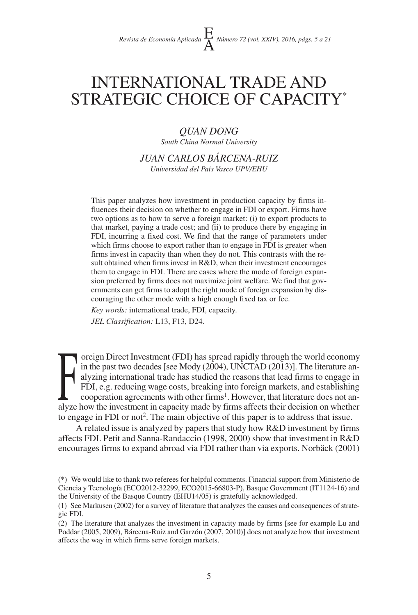# INTERNATIONAL TRADE AND STRATEGIC CHOICE OF CAPACITY\*

## *QUAN DONG*

*South China Normal University*

*JUAN CARLOS BÁRCENA-RUIZ Universidad del País Vasco UPV/EHU*

This paper analyzes how investment in production capacity by firms influences their decision on whether to engage in FDI or export. Firms have two options as to how to serve a foreign market: (i) to export products to that market, paying a trade cost; and (ii) to produce there by engaging in FDI, incurring a fixed cost. We find that the range of parameters under which firms choose to export rather than to engage in FDI is greater when firms invest in capacity than when they do not. This contrasts with the result obtained when firms invest in R&D, when their investment encourages them to engage in FDI. There are cases where the mode of foreign expansion preferred by firms does not maximize joint welfare. We find that governments can get firms to adopt the right mode of foreign expansion by discouraging the other mode with a high enough fixed tax or fee.

*Key words:* international trade, FDI, capacity.

*JEL Classification:* L13, F13, D24.

Foreign Direct Investment (FDI) has spread rapidly through the world economy<br>in the past two decades [see Mody (2004), UNCTAD (2013)]. The literature an-<br>alyzing international trade has studied the reasons that lead firms in the past two decades [see Mody (2004), UNCTAD (2013)]. The literature analyzing international trade has studied the reasons that lead firms to engage in FDI, e.g. reducing wage costs, breaking into foreign markets, and establishing cooperation agreements with other firms<sup>1</sup>. However, that literature does not analyze how the investment in capacity made by firms affects their decision on whether to engage in FDI or not2. The main objective of this paper is to address that issue.

A related issue is analyzed by papers that study how R&D investment by firms affects FDI. Petit and Sanna-Randaccio (1998, 2000) show that investment in R&D encourages firms to expand abroad via FDI rather than via exports. Norbäck (2001)

<sup>(\*)</sup> We would like to thank two referees for helpful comments. Financial support from Ministerio de Ciencia y Tecnología (ECO2012-32299, ECO2015-66803-P), Basque Government (IT1124-16) and the University of the Basque Country (EHU14/05) is gratefully acknowledged.

<sup>(1)</sup> See Markusen (2002) for a survey of literature that analyzes the causes and consequences of strategic FDI.

<sup>(2)</sup> The literature that analyzes the investment in capacity made by firms [see for example Lu and Poddar (2005, 2009), Bárcena-Ruiz and Garzón (2007, 2010)] does not analyze how that investment affects the way in which firms serve foreign markets.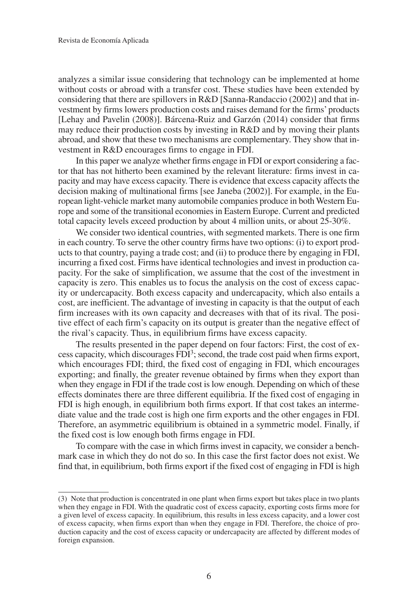analyzes a similar issue considering that technology can be implemented at home without costs or abroad with a transfer cost. These studies have been extended by considering that there are spillovers in R&D [Sanna-Randaccio (2002)] and that investment by firms lowers production costs and raises demand for the firms' products [Lehay and Pavelin (2008)]. Bárcena-Ruiz and Garzón (2014) consider that firms may reduce their production costs by investing in R&D and by moving their plants abroad, and show that these two mechanisms are complementary. They show that investment in R&D encourages firms to engage in FDI.

In this paper we analyze whether firms engage in FDI or export considering a factor that has not hitherto been examined by the relevant literature: firms invest in capacity and may have excess capacity. There is evidence that excess capacity affects the decision making of multinational firms [see Janeba (2002)]. For example, in the European light-vehicle market many automobile companies produce in both Western Europe and some of the transitional economies in Eastern Europe. Current and predicted total capacity levels exceed production by about 4 million units, or about 25-30%.

We consider two identical countries, with segmented markets. There is one firm in each country. To serve the other country firms have two options: (i) to export products to that country, paying a trade cost; and (ii) to produce there by engaging in FDI, incurring a fixed cost. Firms have identical technologies and invest in production capacity. For the sake of simplification, we assume that the cost of the investment in capacity is zero. This enables us to focus the analysis on the cost of excess capacity or undercapacity. Both excess capacity and undercapacity, which also entails a cost, are inefficient. The advantage of investing in capacity is that the output of each firm increases with its own capacity and decreases with that of its rival. The positive effect of each firm's capacity on its output is greater than the negative effect of the rival's capacity. Thus, in equilibrium firms have excess capacity.

The results presented in the paper depend on four factors: First, the cost of excess capacity, which discourages FDI3; second, the trade cost paid when firms export, which encourages FDI; third, the fixed cost of engaging in FDI, which encourages exporting; and finally, the greater revenue obtained by firms when they export than when they engage in FDI if the trade cost is low enough. Depending on which of these effects dominates there are three different equilibria. If the fixed cost of engaging in FDI is high enough, in equilibrium both firms export. If that cost takes an intermediate value and the trade cost is high one firm exports and the other engages in FDI. Therefore, an asymmetric equilibrium is obtained in a symmetric model. Finally, if the fixed cost is low enough both firms engage in FDI.

To compare with the case in which firms invest in capacity, we consider a benchmark case in which they do not do so. In this case the first factor does not exist. We find that, in equilibrium, both firms export if the fixed cost of engaging in FDI is high

<sup>(3)</sup> Note that production is concentrated in one plant when firms export but takes place in two plants when they engage in FDI. With the quadratic cost of excess capacity, exporting costs firms more for a given level of excess capacity. In equilibrium, this results in less excess capacity, and a lower cost of excess capacity, when firms export than when they engage in FDI. Therefore, the choice of production capacity and the cost of excess capacity or undercapacity are affected by different modes of foreign expansion.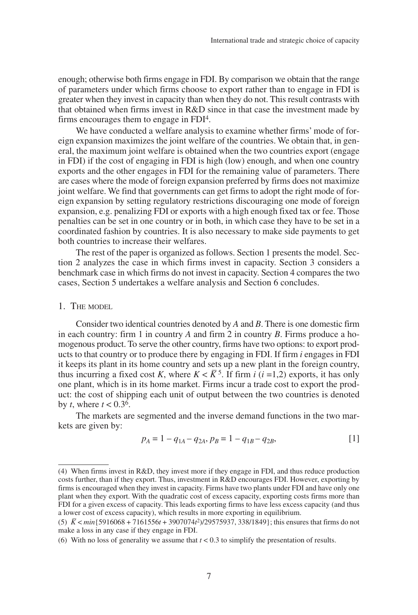enough; otherwise both firms engage in FDI. By comparison we obtain that the range of parameters under which firms choose to export rather than to engage in FDI is greater when they invest in capacity than when they do not. This result contrasts with that obtained when firms invest in R&D since in that case the investment made by firms encourages them to engage in FDI4.

We have conducted a welfare analysis to examine whether firms' mode of foreign expansion maximizes the joint welfare of the countries. We obtain that, in general, the maximum joint welfare is obtained when the two countries export (engage in FDI) if the cost of engaging in FDI is high (low) enough, and when one country exports and the other engages in FDI for the remaining value of parameters. There are cases where the mode of foreign expansion preferred by firms does not maximize joint welfare. We find that governments can get firms to adopt the right mode of foreign expansion by setting regulatory restrictions discouraging one mode of foreign expansion, e.g. penalizing FDI or exports with a high enough fixed tax or fee. Those penalties can be set in one country or in both, in which case they have to be set in a coordinated fashion by countries. It is also necessary to make side payments to get both countries to increase their welfares.

The rest of the paper is organized as follows. Section 1 presents the model. Section 2 analyzes the case in which firms invest in capacity. Section 3 considers a benchmark case in which firms do not invest in capacity. Section 4 compares the two cases, Section 5 undertakes a welfare analysis and Section 6 concludes.

## 1. THE MODEL

Consider two identical countries denoted by *A* and *B*. There is one domestic firm in each country: firm 1 in country *A* and firm 2 in country *B*. Firms produce a homogenous product. To serve the other country, firms have two options: to export products to that country or to produce there by engaging in FDI. If firm *i* engages in FDI it keeps its plant in its home country and sets up a new plant in the foreign country, thus incurring a fixed cost *K*, where  $K < \overline{K}^5$ . If firm *i* (*i* =1,2) exports, it has only one plant, which is in its home market. Firms incur a trade cost to export the product: the cost of shipping each unit of output between the two countries is denoted by *t*, where  $t < 0.3^6$ .

The markets are segmented and the inverse demand functions in the two markets are given by:

$$
p_A = 1 - q_{1A} - q_{2A}, p_B = 1 - q_{1B} - q_{2B},
$$
\n[1]

<sup>(4)</sup> When firms invest in R&D, they invest more if they engage in FDI, and thus reduce production costs further, than if they export. Thus, investment in R&D encourages FDI. However, exporting by firms is encouraged when they invest in capacity. Firms have two plants under FDI and have only one plant when they export. With the quadratic cost of excess capacity, exporting costs firms more than FDI for a given excess of capacity. This leads exporting firms to have less excess capacity (and thus a lower cost of excess capacity), which results in more exporting in equilibrium.

<sup>(5)</sup> *K –* <sup>&</sup>lt;*min*{5916068 + 7161556*<sup>t</sup>* + 3907074*<sup>t</sup>* 2)/29575937, 338/1849}; this ensures that firms do not make a loss in any case if they engage in FDI.

<sup>(6)</sup> With no loss of generality we assume that  $t < 0.3$  to simplify the presentation of results.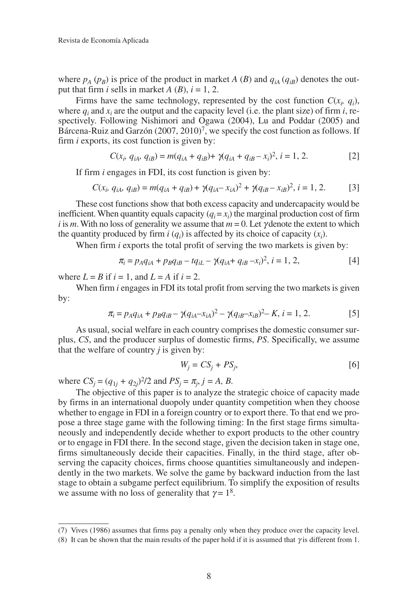where  $p_A(p_B)$  is price of the product in market *A* (*B*) and  $q_{iA}(q_{iB})$  denotes the output that firm *i* sells in market *A* (*B*),  $i = 1, 2$ .

Firms have the same technology, represented by the cost function  $C(x_i, q_i)$ , where  $q_i$  and  $x_i$  are the output and the capacity level (i.e. the plant size) of firm  $i$ , respectively. Following Nishimori and Ogawa (2004), Lu and Poddar (2005) and Bárcena-Ruiz and Garzón (2007, 2010)<sup>7</sup>, we specify the cost function as follows. If firm *i* exports, its cost function is given by:

$$
C(x_i, q_{iA}, q_{iB}) = m(q_{iA} + q_{iB}) + \gamma(q_{iA} + q_{iB} - x_i)^2, i = 1, 2.
$$
 [2]

If firm *i* engages in FDI, its cost function is given by:

$$
C(x_i, q_{iA}, q_{iB}) = m(q_{iA} + q_{iB}) + \gamma (q_{iA} - x_{iA})^2 + \gamma (q_{iB} - x_{iB})^2, i = 1, 2.
$$
 [3]

These cost functions show that both excess capacity and undercapacity would be inefficient. When quantity equals capacity  $(q_i = x_i)$  the marginal production cost of firm *i* is *m*. With no loss of generality we assume that  $m = 0$ . Let  $\gamma$  denote the extent to which the quantity produced by firm  $i(q_i)$  is affected by its choice of capacity  $(x_i)$ .

When firm *i* exports the total profit of serving the two markets is given by:

$$
\pi_i = p_A q_{iA} + p_B q_{iB} - t q_{iL} - \gamma (q_{iA} + q_{iB} - x_i)^2, \ i = 1, 2,
$$
 [4]

where  $L = B$  if  $i = 1$ , and  $L = A$  if  $i = 2$ .

When firm *i* engages in FDI its total profit from serving the two markets is given by:

$$
\pi_i = p_A q_{iA} + p_B q_{iB} - \gamma (q_{iA} - x_{iA})^2 - \gamma (q_{iB} - x_{iB})^2 - K, \ i = 1, 2.
$$
 [5]

As usual, social welfare in each country comprises the domestic consumer surplus, *CS*, and the producer surplus of domestic firms, *PS*. Specifically, we assume that the welfare of country *j* is given by:

$$
W_j = CS_j + PS_j, \tag{6}
$$

where  $CS_j = (q_{1j} + q_{2j})^2/2$  and  $PS_j = \pi_j, j = A, B$ .

The objective of this paper is to analyze the strategic choice of capacity made by firms in an international duopoly under quantity competition when they choose whether to engage in FDI in a foreign country or to export there. To that end we propose a three stage game with the following timing: In the first stage firms simultaneously and independently decide whether to export products to the other country or to engage in FDI there. In the second stage, given the decision taken in stage one, firms simultaneously decide their capacities. Finally, in the third stage, after observing the capacity choices, firms choose quantities simultaneously and independently in the two markets. We solve the game by backward induction from the last stage to obtain a subgame perfect equilibrium. To simplify the exposition of results we assume with no loss of generality that  $\gamma = 1^8$ .

<sup>(7)</sup> Vives (1986) assumes that firms pay a penalty only when they produce over the capacity level.

<sup>(8)</sup> It can be shown that the main results of the paper hold if it is assumed that  $\gamma$  is different from 1.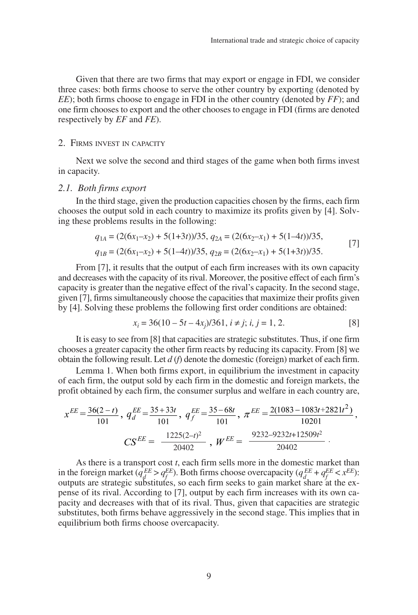Given that there are two firms that may export or engage in FDI, we consider three cases: both firms choose to serve the other country by exporting (denoted by *EE*); both firms choose to engage in FDI in the other country (denoted by *FF*); and one firm chooses to export and the other chooses to engage in FDI (firms are denoted respectively by *EF* and *FE*).

### 2. FIRMS INVEST IN CAPACITY

Next we solve the second and third stages of the game when both firms invest in capacity.

### *2.1. Both firms export*

In the third stage, given the production capacities chosen by the firms, each firm chooses the output sold in each country to maximize its profits given by [4]. Solving these problems results in the following:

$$
q_{1A} = (2(6x_1 - x_2) + 5(1+3t))/35, q_{2A} = (2(6x_2 - x_1) + 5(1-4t))/35,
$$
  
\n
$$
q_{1B} = (2(6x_1 - x_2) + 5(1-4t))/35, q_{2B} = (2(6x_2 - x_1) + 5(1+3t))/35.
$$
 [7]

From [7], it results that the output of each firm increases with its own capacity and decreases with the capacity of its rival. Moreover, the positive effect of each firm's capacity is greater than the negative effect of the rival's capacity. In the second stage, given [7], firms simultaneously choose the capacities that maximize their profits given by [4]. Solving these problems the following first order conditions are obtained:

$$
x_i = 36(10 - 5t - 4x_j)/361, i \neq j; i, j = 1, 2.
$$
 [8]

It is easy to see from [8] that capacities are strategic substitutes. Thus, if one firm chooses a greater capacity the other firm reacts by reducing its capacity. From [8] we obtain the following result. Let *d* (*f*) denote the domestic (foreign) market of each firm.

Lemma 1. When both firms export, in equilibrium the investment in capacity of each firm, the output sold by each firm in the domestic and foreign markets, the profit obtained by each firm, the consumer surplus and welfare in each country are,

$$
x^{EE} = \frac{36(2-t)}{101}, \ q_d^{EE} = \frac{35+33t}{101}, \ q_f^{EE} = \frac{35-68t}{101}, \ \pi^{EE} = \frac{2(1083-1083t+2821t^2)}{10201},
$$

$$
CS^{EE} = \frac{1225(2-t)^2}{20402}, \ \ W^{EE} = \frac{9232-9232t+12509t^2}{20402}.
$$

As there is a transport cost *t*, each firm sells more in the domestic market than in the foreign market  $(q_d^{EE} > q_f^{EE})$ . Both firms choose overcapacity  $(q_d^{EE} + q_f^{EE} < x^{EE})$ : outputs are strategic substitutes, so each firm seeks to gain market share at the expense of its rival. According to [7], output by each firm increases with its own capacity and decreases with that of its rival. Thus, given that capacities are strategic substitutes, both firms behave aggressively in the second stage. This implies that in equilibrium both firms choose overcapacity.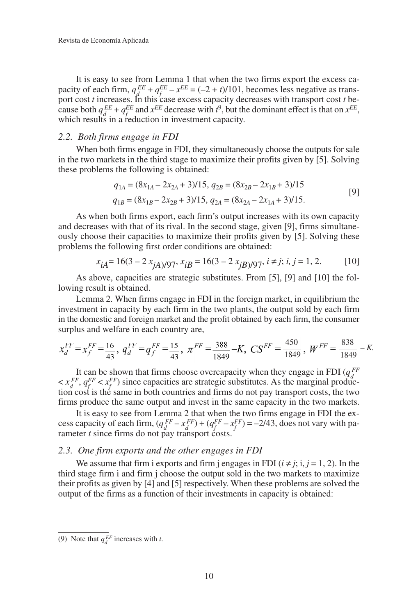It is easy to see from Lemma 1 that when the two firms export the excess capacity of each firm,  $q_{\text{d}}^{EE} + q_{\text{f}}^{EE} - x_{\text{e}}^{EE} = (-2 + t)/101$ , becomes less negative as transport cost *t* increases. In this case excess capacity decreases with transport cost *t* because both  $q_d^{EE} + q_f^{EE}$  and  $x^{EE}$  decrease with  $t^9$ , but the dominant effect is that on  $x^{EE}$ , which results in a reduction in investment capacity.

## *2.2. Both firms engage in FDI*

When both firms engage in FDI, they simultaneously choose the outputs for sale in the two markets in the third stage to maximize their profits given by [5]. Solving these problems the following is obtained:

$$
q_{1A} = (8x_{1A} - 2x_{2A} + 3)/15, q_{2B} = (8x_{2B} - 2x_{1B} + 3)/15
$$
  
\n
$$
q_{1B} = (8x_{1B} - 2x_{2B} + 3)/15, q_{2A} = (8x_{2A} - 2x_{1A} + 3)/15.
$$
\n[9]

As when both firms export, each firm's output increases with its own capacity and decreases with that of its rival. In the second stage, given [9], firms simultaneously choose their capacities to maximize their profits given by [5]. Solving these problems the following first order conditions are obtained:

$$
x_{iA} = 16(3 - 2 x_{jA})/97, x_{iB} = 16(3 - 2 x_{jB})/97, i \neq j; i, j = 1, 2.
$$
 [10]

As above, capacities are strategic substitutes. From [5], [9] and [10] the following result is obtained.

Lemma 2. When firms engage in FDI in the foreign market, in equilibrium the investment in capacity by each firm in the two plants, the output sold by each firm in the domestic and foreign market and the profit obtained by each firm, the consumer surplus and welfare in each country are,

$$
x_d^{FF} = x_f^{FF} = \frac{16}{43}, \ q_d^{FF} = q_f^{FF} = \frac{15}{43}, \ \pi^{FF} = \frac{388}{1849} - K, \ CS^{FF} = \frac{450}{1849}, \ W^{FF} = \frac{838}{1849} - K.
$$

It can be shown that firms choose overcapacity when they engage in FDI  $(q_d^{FF}$  $\langle x_d^{FF}, q_f^{FF} \rangle$  since capacities are strategic substitutes. As the marginal production cost is the same in both countries and firms do not pay transport costs, the two firms produce the same output and invest in the same capacity in the two markets.

It is easy to see from Lemma 2 that when the two firms engage in FDI the excess capacity of each firm,  $(q_d^{FF} - x_d^{FF}) + (q_f^{FF} - x_f^{FF}) = -2/43$ , does not vary with parameter *t* since firms do not pay transport costs.

## *2.3. One firm exports and the other engages in FDI*

We assume that firm i exports and firm j engages in FDI  $(i \neq j; i, j = 1, 2)$ . In the third stage firm i and firm j choose the output sold in the two markets to maximize their profits as given by [4] and [5] respectively. When these problems are solved the output of the firms as a function of their investments in capacity is obtained:

<sup>(9)</sup> Note that  $q_d^{EF}$  increases with *t*.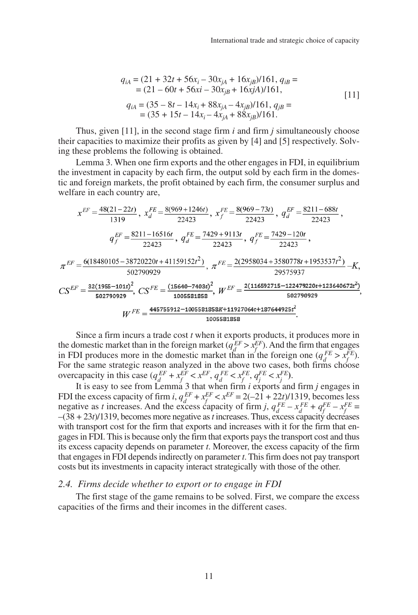$$
q_{iA} = (21 + 32t + 56x_i - 30x_{jA} + 16x_{jB})/161, q_{iB} =
$$
  
= (21 - 60t + 56xi - 30x\_{jB} + 16x\_jA)/161,  

$$
q_{iA} = (35 - 8t - 14x_i + 88x_{jA} - 4x_{jB})/161, q_{jB} =
$$
  
= (35 + 15t - 14x\_i - 4x\_{iA} + 88x\_{jB})/161.

Thus, given [11], in the second stage firm *i* and firm *j* simultaneously choose their capacities to maximize their profits as given by [4] and [5] respectively. Solving these problems the following is obtained.

Lemma 3. When one firm exports and the other engages in FDI, in equilibrium the investment in capacity by each firm, the output sold by each firm in the domestic and foreign markets, the profit obtained by each firm, the consumer surplus and welfare in each country are,

$$
x^{EF} = \frac{48(21 - 22t)}{1319}, x_d^{FE} = \frac{8(969 + 1246t)}{22423}, x_f^{FE} = \frac{8(969 - 73t)}{22423}, q_d^{EF} = \frac{8211 - 688t}{22423},
$$
  
\n
$$
q_f^{EF} = \frac{8211 - 16516t}{22423}, q_d^{FE} = \frac{7429 + 9113t}{22423}, q_f^{FE} = \frac{7429 - 120t}{22423},
$$
  
\n
$$
\pi^{EF} = \frac{6(18480105 - 38720220t + 41159152t^2)}{502790929}, \pi^{FE} = \frac{2(2958034 + 3580778t + 1953537t^2)}{29575937} - K,
$$
  
\n
$$
CS^{EF} = \frac{32(1955 - 101t)^2}{502790929}, CS^{FE} = \frac{(15640 - 7403t)^2}{1005581858}, W^{EF} = \frac{2(116592715 - 122479220t + 123640672t^2)}{502790929},
$$
  
\n
$$
W^{FE} = \frac{445755912 - 1005581858K + 11927064t + 187644925t^2}{1005581858}
$$

Since a firm incurs a trade cost *t* when it exports products, it produces more in the domestic market than in the foreign market  $(q_d^{EF} > x_f^{EF})$ . And the firm that engages in FDI produces more in the domestic market than in the foreign one  $(q_d^{FE} > x_f^{FE})$ . For the same strategic reason analyzed in the above two cases, both firms choose overcapacity in this case  $(q_d^{EF} + x_f^{EF} < x^{EF}, q_d^{FE} < x_f^{FE}, q_j^{FE} < x_j^{FE})$ .

It is easy to see from Lemma 3 that when firm *i* exports and firm *j* engages in FDI the excess capacity of firm *i*,  $q_d^{EF} + x_f^{EF} < x^{EF} = 2(-21 + 22t)/1319$ , becomes less negative as *t* increases. And the excess capacity of firm *j*,  $q_d^{FE} - x_d^{FE} + q_f^{FE} - x_f^{FE} =$  $-(38 + 23t)/1319$ , becomes more negative as *t* increases. Thus, excess capacity decreases with transport cost for the firm that exports and increases with it for the firm that engages in FDI. This is because only the firm that exports pays the transport cost and thus its excess capacity depends on parameter *t*. Moreover, the excess capacity of the firm that engages in FDI depends indirectly on parameter *t*. This firm does not pay transport costs but its investments in capacity interact strategically with those of the other.

## *2.4. Firms decide whether to export or to engage in FDI*

The first stage of the game remains to be solved. First, we compare the excess capacities of the firms and their incomes in the different cases.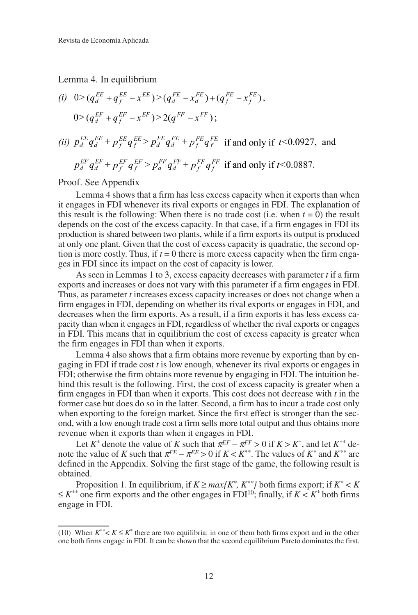Lemma 4. In equilibrium

(i) 
$$
0 > (q_d^{EE} + q_f^{EE} - x^{EE}) > (q_d^{FE} - x_d^{FE}) + (q_f^{FE} - x_f^{FE}),
$$
  
\n $0 > (q_d^{EF} + q_f^{EF} - x^{EF}) > 2(q^{FF} - x^{FF});$   
\n(ii)  $p_d^{EE} q_d^{EE} + p_f^{EE} q_f^{EE} > p_d^{FE} q_d^{FE} + p_f^{FE} q_f^{FE}$  if and only if  $t < 0.0927$ , and  
\n $p_d^{EF} q_d^{EF} + p_f^{EF} q_f^{EF} > p_d^{FF} q_d^{FF} + p_f^{FF} q_f^{FF}$  if and only if  $t < 0.0887$ .

Proof. See Appendix

Lemma 4 shows that a firm has less excess capacity when it exports than when it engages in FDI whenever its rival exports or engages in FDI. The explanation of this result is the following: When there is no trade cost (i.e. when  $t = 0$ ) the result depends on the cost of the excess capacity. In that case, if a firm engages in FDI its production is shared between two plants, while if a firm exports its output is produced at only one plant. Given that the cost of excess capacity is quadratic, the second option is more costly. Thus, if  $t = 0$  there is more excess capacity when the firm engages in FDI since its impact on the cost of capacity is lower.

As seen in Lemmas 1 to 3, excess capacity decreases with parameter *t* if a firm exports and increases or does not vary with this parameter if a firm engages in FDI. Thus, as parameter *t* increases excess capacity increases or does not change when a firm engages in FDI, depending on whether its rival exports or engages in FDI, and decreases when the firm exports. As a result, if a firm exports it has less excess capacity than when it engages in FDI, regardless of whether the rival exports or engages in FDI. This means that in equilibrium the cost of excess capacity is greater when the firm engages in FDI than when it exports.

Lemma 4 also shows that a firm obtains more revenue by exporting than by engaging in FDI if trade cost *t* is low enough, whenever its rival exports or engages in FDI; otherwise the firm obtains more revenue by engaging in FDI. The intuition behind this result is the following. First, the cost of excess capacity is greater when a firm engages in FDI than when it exports. This cost does not decrease with *t* in the former case but does do so in the latter. Second, a firm has to incur a trade cost only when exporting to the foreign market. Since the first effect is stronger than the second, with a low enough trade cost a firm sells more total output and thus obtains more revenue when it exports than when it engages in FDI.

Let  $K^*$  denote the value of *K* such that  $\pi^{EF} - \pi^{FF} > 0$  if  $K > K^*$ , and let  $K^{**}$  denote the value of *K* such that  $\pi^{FE} - \pi^{EE} > 0$  if  $K < K^{**}$ . The values of  $K^*$  and  $K^{**}$  are defined in the Appendix. Solving the first stage of the game, the following result is obtained.

Proposition 1. In equilibrium, if  $K \ge \max\{K^*, K^{**}\}$  both firms export; if  $K^* < K$  $\leq K^{**}$  one firm exports and the other engages in FDI<sup>10</sup>; finally, if  $K < K^*$  both firms engage in FDI.

<sup>(10)</sup> When  $K^{**} < K \le K^*$  there are two equilibria: in one of them both firms export and in the other one both firms engage in FDI. It can be shown that the second equilibrium Pareto dominates the first.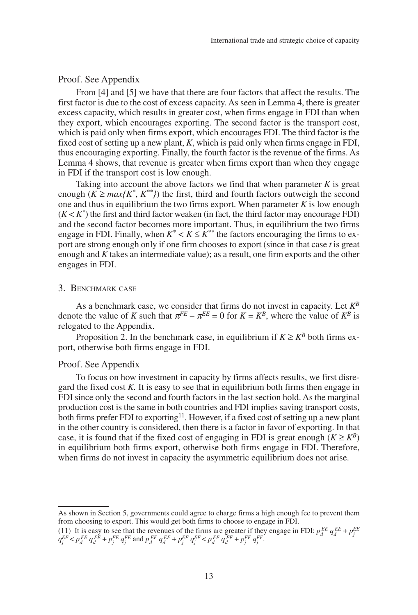## Proof. See Appendix

From [4] and [5] we have that there are four factors that affect the results. The first factor is due to the cost of excess capacity. As seen in Lemma 4, there is greater excess capacity, which results in greater cost, when firms engage in FDI than when they export, which encourages exporting. The second factor is the transport cost, which is paid only when firms export, which encourages FDI. The third factor is the fixed cost of setting up a new plant, *K*, which is paid only when firms engage in FDI, thus encouraging exporting. Finally, the fourth factor is the revenue of the firms. As Lemma 4 shows, that revenue is greater when firms export than when they engage in FDI if the transport cost is low enough.

Taking into account the above factors we find that when parameter  $K$  is great enough  $(K \geq max/K^*, K^{**})$  the first, third and fourth factors outweigh the second one and thus in equilibrium the two firms export. When parameter *K* is low enough  $(K < K^*)$  the first and third factor weaken (in fact, the third factor may encourage FDI) and the second factor becomes more important. Thus, in equilibrium the two firms engage in FDI. Finally, when  $K^* < K \leq K^{**}$  the factors encouraging the firms to export are strong enough only if one firm chooses to export (since in that case *t* is great enough and *K* takes an intermediate value); as a result, one firm exports and the other engages in FDI.

## 3. BENCHMARK CASE

As a benchmark case, we consider that firms do not invest in capacity. Let *KB* denote the value of *K* such that  $\pi^{FE} - \pi^{EE} = 0$  for  $K = K^B$ , where the value of  $K^B$  is relegated to the Appendix.

Proposition 2. In the benchmark case, in equilibrium if  $K \geq K^B$  both firms export, otherwise both firms engage in FDI.

## Proof. See Appendix

To focus on how investment in capacity by firms affects results, we first disregard the fixed cost *K.* It is easy to see that in equilibrium both firms then engage in FDI since only the second and fourth factors in the last section hold. As the marginal production cost is the same in both countries and FDI implies saving transport costs, both firms prefer FDI to exporting<sup>11</sup>. However, if a fixed cost of setting up a new plant in the other country is considered, then there is a factor in favor of exporting. In that case, it is found that if the fixed cost of engaging in FDI is great enough  $(K \geq K^B)$ in equilibrium both firms export, otherwise both firms engage in FDI. Therefore, when firms do not invest in capacity the asymmetric equilibrium does not arise.

As shown in Section 5, governments could agree to charge firms a high enough fee to prevent them from choosing to export. This would get both firms to choose to engage in FDI.

<sup>(11)</sup> It is easy to see that the revenues of the firms are greater if they engage in FDI:  $p_d^{EE} q_d^{EE} + p_f^{EE}$  $q_j^{EE} < p_d^{FE} q_d^{FE} + p_j^{FE} q_j^{FE}$  and  $p_d^{EF} q_d^{EF} + p_j^{EF} q_j^{EF} < p_d^{FF} q_d^{FF} + p_j^{FF} q_j^{FF}$ .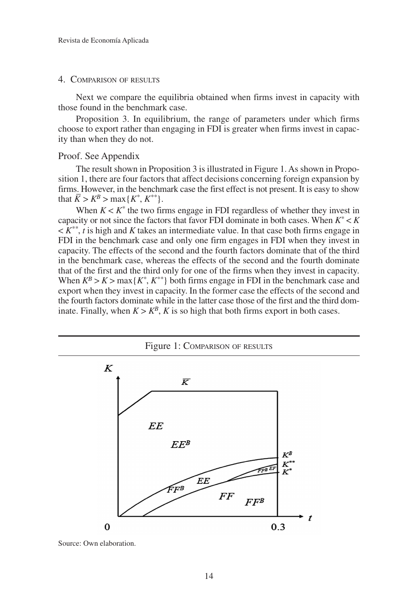### 4. COMPARISON OF RESULTS

Next we compare the equilibria obtained when firms invest in capacity with those found in the benchmark case.

Proposition 3. In equilibrium, the range of parameters under which firms choose to export rather than engaging in FDI is greater when firms invest in capacity than when they do not.

## Proof. See Appendix

The result shown in Proposition 3 is illustrated in Figure 1. As shown in Proposition 1, there are four factors that affect decisions concerning foreign expansion by firms. However, in the benchmark case the first effect is not present. It is easy to show that  $\bar{K} > K^B > \max\{K^*, K^{**}\}.$ 

When  $K < K^*$  the two firms engage in FDI regardless of whether they invest in capacity or not since the factors that favor FDI dominate in both cases. When  $K^* < K$  $\lt K^{**}$ , *t* is high and *K* takes an intermediate value. In that case both firms engage in FDI in the benchmark case and only one firm engages in FDI when they invest in capacity. The effects of the second and the fourth factors dominate that of the third in the benchmark case, whereas the effects of the second and the fourth dominate that of the first and the third only for one of the firms when they invest in capacity. When  $K^B > K > \max\{K^*, K^{**}\}\$  both firms engage in FDI in the benchmark case and export when they invest in capacity. In the former case the effects of the second and the fourth factors dominate while in the latter case those of the first and the third dominate. Finally, when  $K > K^B$ , *K* is so high that both firms export in both cases.



Source: Own elaboration.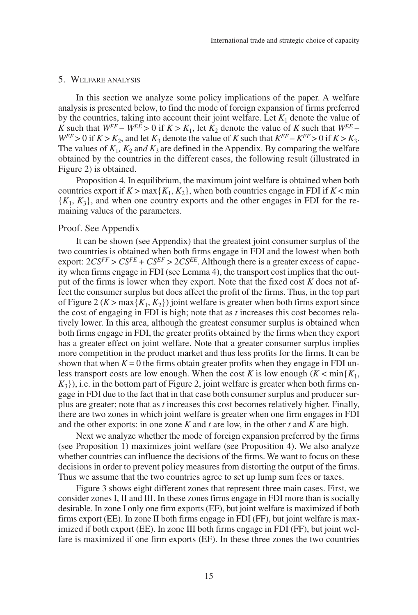#### 5. WELFARE ANALYSIS

In this section we analyze some policy implications of the paper. A welfare analysis is presented below, to find the mode of foreign expansion of firms preferred by the countries, taking into account their joint welfare. Let  $K_1$  denote the value of *K* such that  $W^{FF} - W^{EE} > 0$  if  $K > K_1$ , let  $K_2$  denote the value of *K* such that  $W^{EE} W^{EF} > 0$  if  $K > K_2$ , and let  $K_3$  denote the value of *K* such that  $K^{EF} - K^{FF} > 0$  if  $K > K_3$ . The values of  $K_1$ ,  $K_2$  and  $K_3$  are defined in the Appendix. By comparing the welfare obtained by the countries in the different cases, the following result (illustrated in Figure 2) is obtained.

Proposition 4. In equilibrium, the maximum joint welfare is obtained when both countries export if  $K > \max\{K_1, K_2\}$ , when both countries engage in FDI if  $K < \min$  ${K_1, K_3}$ , and when one country exports and the other engages in FDI for the remaining values of the parameters.

## Proof. See Appendix

It can be shown (see Appendix) that the greatest joint consumer surplus of the two countries is obtained when both firms engage in FDI and the lowest when both export:  $2CS^{FF} > CS^{FE} + CS^{EF} > 2CS^{EE}$ . Although there is a greater excess of capacity when firms engage in FDI (see Lemma 4), the transport cost implies that the output of the firms is lower when they export. Note that the fixed cost *K* does not affect the consumer surplus but does affect the profit of the firms. Thus, in the top part of Figure 2 ( $K > \max\{K_1, K_2\}$ ) joint welfare is greater when both firms export since the cost of engaging in FDI is high; note that as *t* increases this cost becomes relatively lower. In this area, although the greatest consumer surplus is obtained when both firms engage in FDI, the greater profits obtained by the firms when they export has a greater effect on joint welfare. Note that a greater consumer surplus implies more competition in the product market and thus less profits for the firms. It can be shown that when  $K = 0$  the firms obtain greater profits when they engage in FDI unless transport costs are low enough. When the cost *K* is low enough  $(K < min\{K_1,$  $K_3$ ), i.e. in the bottom part of Figure 2, joint welfare is greater when both firms engage in FDI due to the fact that in that case both consumer surplus and producer surplus are greater; note that as *t* increases this cost becomes relatively higher. Finally, there are two zones in which joint welfare is greater when one firm engages in FDI and the other exports: in one zone *K* and *t* are low, in the other *t* and *K* are high.

Next we analyze whether the mode of foreign expansion preferred by the firms (see Proposition 1) maximizes joint welfare (see Proposition 4). We also analyze whether countries can influence the decisions of the firms. We want to focus on these decisions in order to prevent policy measures from distorting the output of the firms. Thus we assume that the two countries agree to set up lump sum fees or taxes.

Figure 3 shows eight different zones that represent three main cases. First, we consider zones I, II and III. In these zones firms engage in FDI more than is socially desirable. In zone I only one firm exports (EF), but joint welfare is maximized if both firms export (EE). In zone II both firms engage in FDI (FF), but joint welfare is maximized if both export (EE). In zone III both firms engage in FDI (FF), but joint welfare is maximized if one firm exports (EF). In these three zones the two countries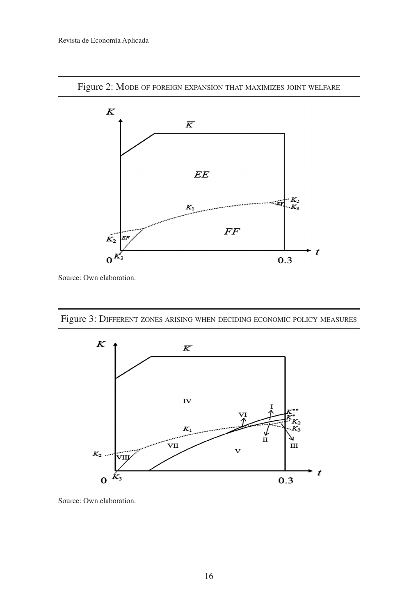

Figure 2: MODE OF FOREIGN EXPANSION THAT MAXIMIZES JOINT WELFARE

Source: Own elaboration.





Source: Own elaboration.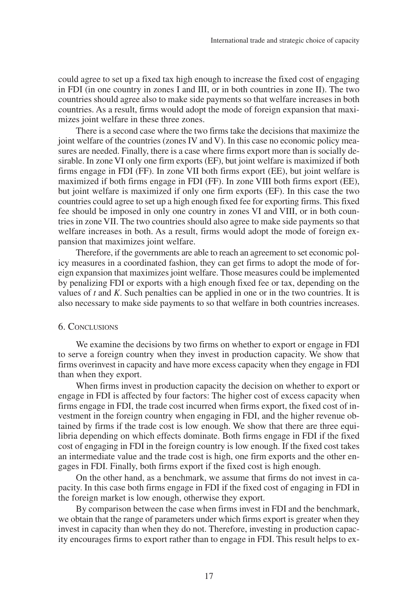could agree to set up a fixed tax high enough to increase the fixed cost of engaging in FDI (in one country in zones I and III, or in both countries in zone II). The two countries should agree also to make side payments so that welfare increases in both countries. As a result, firms would adopt the mode of foreign expansion that maximizes joint welfare in these three zones.

There is a second case where the two firms take the decisions that maximize the joint welfare of the countries (zones IV and V). In this case no economic policy measures are needed. Finally, there is a case where firms export more than is socially desirable. In zone VI only one firm exports (EF), but joint welfare is maximized if both firms engage in FDI (FF). In zone VII both firms export (EE), but joint welfare is maximized if both firms engage in FDI (FF). In zone VIII both firms export (EE), but joint welfare is maximized if only one firm exports (EF). In this case the two countries could agree to set up a high enough fixed fee for exporting firms. This fixed fee should be imposed in only one country in zones VI and VIII, or in both countries in zone VII. The two countries should also agree to make side payments so that welfare increases in both. As a result, firms would adopt the mode of foreign expansion that maximizes joint welfare.

Therefore, if the governments are able to reach an agreement to set economic policy measures in a coordinated fashion, they can get firms to adopt the mode of foreign expansion that maximizes joint welfare. Those measures could be implemented by penalizing FDI or exports with a high enough fixed fee or tax, depending on the values of *t* and *K*. Such penalties can be applied in one or in the two countries. It is also necessary to make side payments to so that welfare in both countries increases.

## 6. CONCLUSIONS

We examine the decisions by two firms on whether to export or engage in FDI to serve a foreign country when they invest in production capacity. We show that firms overinvest in capacity and have more excess capacity when they engage in FDI than when they export.

When firms invest in production capacity the decision on whether to export or engage in FDI is affected by four factors: The higher cost of excess capacity when firms engage in FDI, the trade cost incurred when firms export, the fixed cost of investment in the foreign country when engaging in FDI, and the higher revenue obtained by firms if the trade cost is low enough. We show that there are three equilibria depending on which effects dominate. Both firms engage in FDI if the fixed cost of engaging in FDI in the foreign country is low enough. If the fixed cost takes an intermediate value and the trade cost is high, one firm exports and the other engages in FDI. Finally, both firms export if the fixed cost is high enough.

On the other hand, as a benchmark, we assume that firms do not invest in capacity. In this case both firms engage in FDI if the fixed cost of engaging in FDI in the foreign market is low enough, otherwise they export.

By comparison between the case when firms invest in FDI and the benchmark, we obtain that the range of parameters under which firms export is greater when they invest in capacity than when they do not. Therefore, investing in production capacity encourages firms to export rather than to engage in FDI. This result helps to ex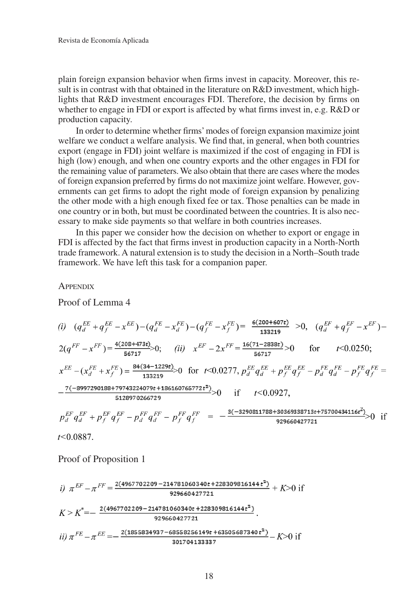plain foreign expansion behavior when firms invest in capacity. Moreover, this result is in contrast with that obtained in the literature on R&D investment, which highlights that R&D investment encourages FDI. Therefore, the decision by firms on whether to engage in FDI or export is affected by what firms invest in, e.g. R&D or production capacity.

In order to determine whether firms' modes of foreign expansion maximize joint welfare we conduct a welfare analysis. We find that, in general, when both countries export (engage in FDI) joint welfare is maximized if the cost of engaging in FDI is high (low) enough, and when one country exports and the other engages in FDI for the remaining value of parameters. We also obtain that there are cases where the modes of foreign expansion preferred by firms do not maximize joint welfare. However, governments can get firms to adopt the right mode of foreign expansion by penalizing the other mode with a high enough fixed fee or tax. Those penalties can be made in one country or in both, but must be coordinated between the countries. It is also necessary to make side payments so that welfare in both countries increases.

In this paper we consider how the decision on whether to export or engage in FDI is affected by the fact that firms invest in production capacity in a North-North trade framework. A natural extension is to study the decision in a North–South trade framework. We have left this task for a companion paper.

**APPENDIX** 

Proof of Lemma 4

(i) 
$$
(q_d^{EE} + q_f^{EE} - x^{EE}) - (q_d^{FE} - x_d^{FE}) - (q_f^{FE} - x_f^{FE}) = \frac{6(200 + 607t)}{133219} > 0
$$
,  $(q_d^{EF} + q_f^{EF} - x^{EF}) -$   
\n $2(q^{FF} - x^{FF}) = \frac{4(208 + 473t)}{56717} > 0$ ; *(ii)*  $x^{EF} - 2x^{FF} = \frac{16(71 - 2838t)}{56717} > 0$  for  $t < 0.0250$ ;  
\n $x^{EE} - (x_d^{FE} + x_f^{FE}) = \frac{84(34 - 1229t)}{133219} > 0$  for  $t < 0.0277$ ,  $p_d^{EE} q_d^{EE} + p_f^{EE} q_f^{EE} - p_d^{FE} q_d^{FE} - p_f^{FE} q_f^{FE} =$   
\n $\frac{7(-8997290188 + 79743224079t + 186160765772t^2)}{5128970266729} > 0$  if  $t < 0.0927$ ,  
\n $p_d^{EF} q_d^{EF} + p_f^{EF} q_f^{EF} - p_d^{FF} q_d^{FF} - p_f^{FF} q_f^{FF} = -\frac{3(-3290811788 + 30369338713t + 75700434116t^2)}{929660427721} > 0$  if

 $t<0.0887$ .

Proof of Proposition 1

*i)* 
$$
\pi^{EF} - \pi^{FF} = \frac{2(4967702209 - 214781060340t + 228309816144t^2)}{929660427721} + K > 0
$$
 if  
\n $K > K^* = -\frac{2(4967702209 - 214781060340t + 228309816144t^2)}{929660427721}$ .  
\n*ii)*  $\pi^{FE} - \pi^{EE} = -\frac{2(1855834937 - 68558256149t + 63505687340t^2)}{301704133337} - K > 0$  if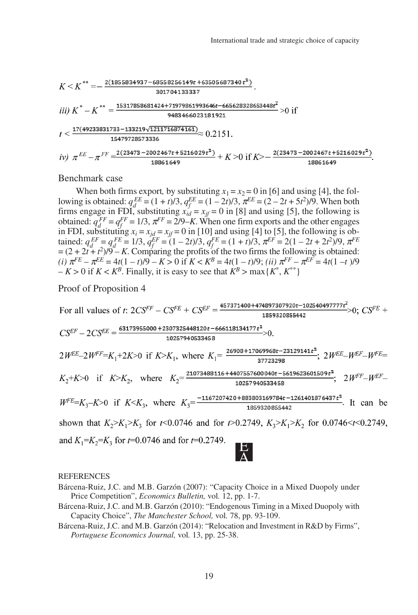$$
K < K^{**} = -\frac{2(1855834937 - 68558256149t + 63505687340t^2)}{301704133337}.
$$
\n
$$
iii) K^* - K^{**} = \frac{15317858681424 + 71979861993646t - 665628328653448t^2}{9483466023181921} > 0 \text{ if}
$$
\n
$$
t < \frac{17(49233831733 - 133219\sqrt{1211716874161})}{15479728573336} \approx 0.2151.
$$
\n
$$
iv) \pi^{EE} - \pi^{FF} = \frac{2(23473 - 2002467t + 5216029t^2)}{18861649} + K > 0 \text{ if } K > -\frac{2(23473 - 2002467t + 5216029t^2)}{18861649}.
$$

Benchmark case

When both firms export, by substituting  $x_1 = x_2 = 0$  in [6] and using [4], the following is obtained:  $q_E^{EE} = (1 + t)/3$ ,  $q_f^{EE} = (1 - 2t)/3$ ,  $\pi^{EE} = (2 - 2t + 5t^2)/9$ . When both firms engage in FDI, substituting  $x_{id} = x_{if} = 0$  in [8] and using [5], the following is obtained:  $q_f^{FF} = q_f^{FF} = 1/3$ ,  $\pi^{FF} = 2/9 - K$ . When one firm exports and the other engages in FDI, substituting  $x_i = x_{jd} = x_{jf} = 0$  in [10] and using [4] to [5], the following is obtained:  $q_d^{EF} = q_f^{FE} = 1/3$ ,  $q_f^{EF} = (1 - 2t)/3$ ,  $q_f^{FE} = (1 + t)/3$ ,  $\pi^{EF} = 2(1 - 2t + 2t^2)/9$ ,  $\pi^{FE} = (1 - 2t + 2t^2)/9$  $=(2 + 2t + t^2)/9 - K$ . Comparing the profits of the two firms the following is obtained:  $(i)$   $\pi^{FE} - \pi^{EE} = 4t(1-t)/9 - K > 0$  if  $K < K^B = 4t(1-t)/9$ ; *(ii)*  $\pi^{FF} - \pi^{EF} = 4t(1-t)/9$  $-K > 0$  if  $K < K^B$ . Finally, it is easy to see that  $K^B > \max\{K^*, K^{**}\}\$ 

Proof of Proposition 4

For all values of *t*: 
$$
2CS^{FF} - CS^{FE} + CS^{EF} = \frac{457371400+474897307920t-102540497777t^{2}}{1859320855442} > 0
$$
;  $CS^{FE} + CS^{EF} - 2CS^{EE} = \frac{63173955000+2307325448120t-666118134177t^{2}}{10257940533458} > 0$ .  
\n $2W^{EE} - 2W^{FF} = K_{1} + 2K > 0$  if  $K > K_{1}$ , where  $K_{1} = \frac{26908+17069968t-23129141t^{2}}{37723298}$ ;  $2W^{EE} - W^{EF} - W^{FE} = K_{2} + K > 0$  if  $K > K_{2}$ , where  $K_{2} = \frac{21073488116+440755760040t-5619623601509t^{2}}{10257940533458}$ ,  $2W^{FF} - W^{EF} - W^{EF} - W^{FE} = K_{3} - K > 0$  if  $K < K_{3}$ , where  $K_{3} = \frac{-1167207420+883803169784t-1261401876437t^{2}}{1859320855442}$ . It can be shown that  $K_{2} > K_{1} > K_{3}$  for  $t < 0.0746$  and for  $t > 0.2749$ ,  $K_{3} > K_{1} > K_{2}$  for  $0.0746 < t < 0.2749$ , and  $K_{1} = K_{2} = K_{3}$  for  $t = 0.0746$  and for  $t = 0.2749$ .

**REFERENCES** 

- Bárcena-Ruiz, J.C. and M.B. Garzón (2010): "Endogenous Timing in a Mixed Duopoly with Capacity Choice", *The Manchester School,* vol*.* 78, pp. 93-109.
- Bárcena-Ruiz, J.C. and M.B. Garzón (2014): "Relocation and Investment in R&D by Firms", *Portuguese Economics Journal,* vol*.* 13, pp. 25-38.

Bárcena-Ruiz, J.C. and M.B. Garzón (2007): "Capacity Choice in a Mixed Duopoly under Price Competition", *Economics Bulletin,* vol*.* 12, pp. 1-7.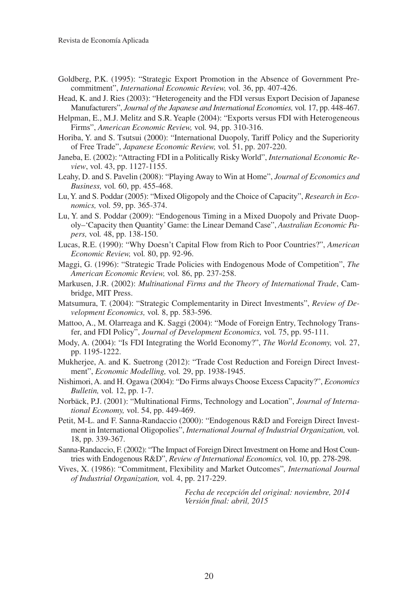- Goldberg, P.K. (1995): "Strategic Export Promotion in the Absence of Government Precommitment", *International Economic Review,* vol*.* 36, pp. 407-426.
- Head, K. and J. Ries (2003): "Heterogeneity and the FDI versus Export Decision of Japanese Manufacturers", *Journal of the Japanese and International Economies,* vol*.* 17, pp. 448-467.
- Helpman, E., M.J. Melitz and S.R. Yeaple (2004): "Exports versus FDI with Heterogeneous Firms", *American Economic Review,* vol*.* 94, pp. 310-316.
- Horiba, Y. and S. Tsutsui (2000): "International Duopoly, Tariff Policy and the Superiority of Free Trade", *Japanese Economic Review,* vol*.* 51, pp. 207-220.
- Janeba, E. (2002): "Attracting FDI in a Politically Risky World", *International Economic Review*, vol. 43, pp. 1127-1155.
- Leahy, D. and S. Pavelin (2008): "Playing Away to Win at Home", *Journal of Economics and Business,* vol*.* 60, pp. 455-468.
- Lu, Y. and S. Poddar (2005): "Mixed Oligopoly and the Choice of Capacity", *Research in Economics,* vol*.* 59, pp. 365-374.
- Lu, Y. and S. Poddar (2009): "Endogenous Timing in a Mixed Duopoly and Private Duopoly–'Capacity then Quantity' Game: the Linear Demand Case", *Australian Economic Papers,* vol*.* 48, pp. 138-150.
- Lucas, R.E. (1990): "Why Doesn't Capital Flow from Rich to Poor Countries?", *American Economic Review,* vol*.* 80, pp. 92-96.
- Maggi, G. (1996): "Strategic Trade Policies with Endogenous Mode of Competition", *The American Economic Review,* vol*.* 86, pp. 237-258.
- Markusen, J.R. (2002): *Multinational Firms and the Theory of International Trade*, Cambridge, MIT Press.
- Matsumura, T. (2004): "Strategic Complementarity in Direct Investments", *Review of Development Economics,* vol*.* 8, pp. 583-596.
- Mattoo, A., M. Olarreaga and K. Saggi (2004): "Mode of Foreign Entry, Technology Transfer, and FDI Policy", *Journal of Development Economics,* vol*.* 75, pp. 95-111.
- Mody, A. (2004): "Is FDI Integrating the World Economy?", *The World Economy,* vol*.* 27, pp. 1195-1222.
- Mukherjee, A. and K. Suetrong (2012): "Trade Cost Reduction and Foreign Direct Investment", *Economic Modelling,* vol*.* 29, pp. 1938-1945.
- Nishimori, A. and H. Ogawa (2004): "Do Firms always Choose Excess Capacity?", *Economics Bulletin,* vol*.* 12, pp. 1-7.
- Norbäck, P.J. (2001): "Multinational Firms, Technology and Location", *Journal of International Economy,* vol. 54, pp. 449-469.
- Petit, M-L. and F. Sanna-Randaccio (2000): "Endogenous R&D and Foreign Direct Investment in International Oligopolies", *International Journal of Industrial Organization,* vol*.* 18, pp. 339-367.
- Sanna-Randaccio, F. (2002): "The Impact of Foreign Direct Investment on Home and Host Countries with Endogenous R&D", *Review of International Economics,* vol*.* 10, pp. 278-298.
- Vives, X. (1986): "Commitment, Flexibility and Market Outcomes"*, International Journal of Industrial Organization,* vol*.* 4, pp. 217-229.

*Fecha de recepción del original: noviembre, 2014 Versión final: abril, 2015*